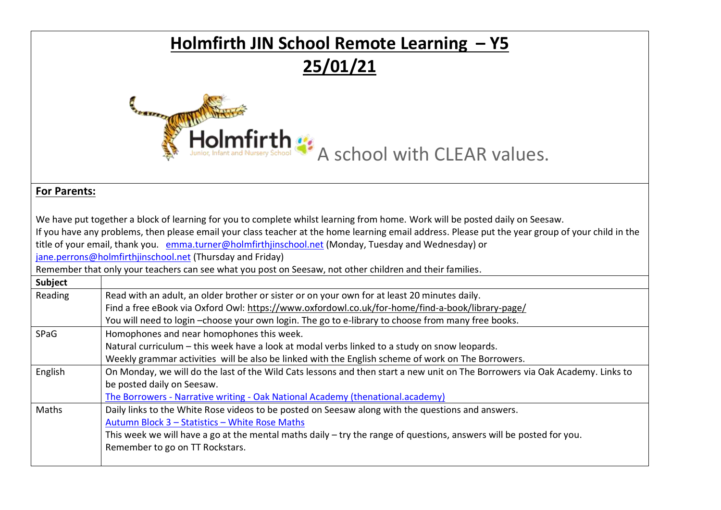| Holmfirth JIN School Remote Learning - Y5 |                                                                                                                                                                                                                                                                                                                                                                                                                                                                                                                                                                     |  |  |  |  |  |
|-------------------------------------------|---------------------------------------------------------------------------------------------------------------------------------------------------------------------------------------------------------------------------------------------------------------------------------------------------------------------------------------------------------------------------------------------------------------------------------------------------------------------------------------------------------------------------------------------------------------------|--|--|--|--|--|
|                                           | 25/01/21                                                                                                                                                                                                                                                                                                                                                                                                                                                                                                                                                            |  |  |  |  |  |
|                                           |                                                                                                                                                                                                                                                                                                                                                                                                                                                                                                                                                                     |  |  |  |  |  |
| Holmfirth :: A school with CLEAR values.  |                                                                                                                                                                                                                                                                                                                                                                                                                                                                                                                                                                     |  |  |  |  |  |
|                                           |                                                                                                                                                                                                                                                                                                                                                                                                                                                                                                                                                                     |  |  |  |  |  |
|                                           | We have put together a block of learning for you to complete whilst learning from home. Work will be posted daily on Seesaw.<br>If you have any problems, then please email your class teacher at the home learning email address. Please put the year group of your child in the<br>title of your email, thank you. emma.turner@holmfirthjinschool.net (Monday, Tuesday and Wednesday) or<br>jane.perrons@holmfirthjinschool.net (Thursday and Friday)<br>Remember that only your teachers can see what you post on Seesaw, not other children and their families. |  |  |  |  |  |
| <b>Subject</b>                            |                                                                                                                                                                                                                                                                                                                                                                                                                                                                                                                                                                     |  |  |  |  |  |
| Reading                                   | Read with an adult, an older brother or sister or on your own for at least 20 minutes daily.<br>Find a free eBook via Oxford Owl: https://www.oxfordowl.co.uk/for-home/find-a-book/library-page/<br>You will need to login -choose your own login. The go to e-library to choose from many free books.                                                                                                                                                                                                                                                              |  |  |  |  |  |
| SPaG                                      | Homophones and near homophones this week.<br>Natural curriculum - this week have a look at modal verbs linked to a study on snow leopards.<br>Weekly grammar activities will be also be linked with the English scheme of work on The Borrowers.                                                                                                                                                                                                                                                                                                                    |  |  |  |  |  |
| English                                   | On Monday, we will do the last of the Wild Cats lessons and then start a new unit on The Borrowers via Oak Academy. Links to<br>be posted daily on Seesaw.<br>The Borrowers - Narrative writing - Oak National Academy (thenational.academy)                                                                                                                                                                                                                                                                                                                        |  |  |  |  |  |
| Maths                                     | Daily links to the White Rose videos to be posted on Seesaw along with the questions and answers.<br>Autumn Block 3 - Statistics - White Rose Maths<br>This week we will have a go at the mental maths daily - try the range of questions, answers will be posted for you.<br>Remember to go on TT Rockstars.                                                                                                                                                                                                                                                       |  |  |  |  |  |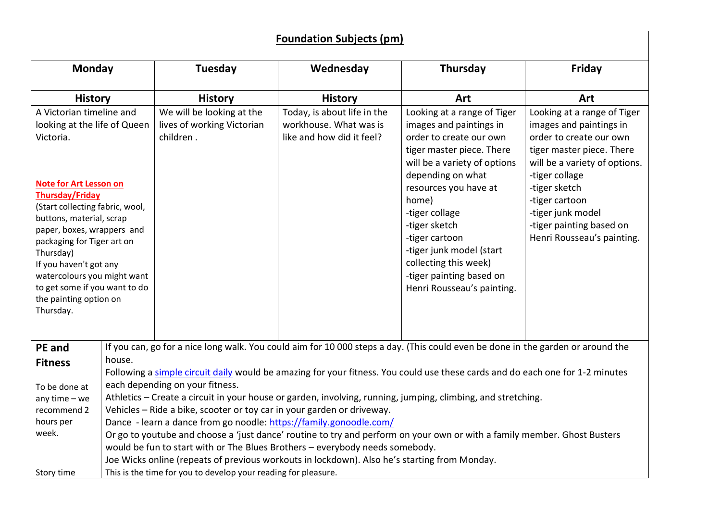|                                                                                                                                                                                                                                    |                                                                                                                                                                                                                                                                                                          | <b>Foundation Subjects (pm)</b><br>Thursday<br>Tuesday<br>Wednesday<br>Friday<br><b>History</b><br><b>History</b><br>Art<br>Art<br>We will be looking at the<br>Today, is about life in the<br>Looking at a range of Tiger<br>Looking at a range of Tiger<br>lives of working Victorian<br>workhouse. What was is<br>images and paintings in<br>images and paintings in<br>children.<br>like and how did it feel?<br>order to create our own<br>order to create our own |  |                                                                                                                                                                                                                                                                  |                                                                                                                                      |  |
|------------------------------------------------------------------------------------------------------------------------------------------------------------------------------------------------------------------------------------|----------------------------------------------------------------------------------------------------------------------------------------------------------------------------------------------------------------------------------------------------------------------------------------------------------|-------------------------------------------------------------------------------------------------------------------------------------------------------------------------------------------------------------------------------------------------------------------------------------------------------------------------------------------------------------------------------------------------------------------------------------------------------------------------|--|------------------------------------------------------------------------------------------------------------------------------------------------------------------------------------------------------------------------------------------------------------------|--------------------------------------------------------------------------------------------------------------------------------------|--|
| <b>Monday</b>                                                                                                                                                                                                                      |                                                                                                                                                                                                                                                                                                          |                                                                                                                                                                                                                                                                                                                                                                                                                                                                         |  |                                                                                                                                                                                                                                                                  |                                                                                                                                      |  |
| <b>History</b>                                                                                                                                                                                                                     |                                                                                                                                                                                                                                                                                                          |                                                                                                                                                                                                                                                                                                                                                                                                                                                                         |  |                                                                                                                                                                                                                                                                  |                                                                                                                                      |  |
| A Victorian timeline and<br>looking at the life of Queen<br>Victoria.<br><b>Note for Art Lesson on</b><br><b>Thursday/Friday</b><br>(Start collecting fabric, wool,                                                                |                                                                                                                                                                                                                                                                                                          |                                                                                                                                                                                                                                                                                                                                                                                                                                                                         |  | tiger master piece. There<br>will be a variety of options<br>depending on what<br>resources you have at<br>home)<br>-tiger collage                                                                                                                               | tiger master piece. There<br>will be a variety of options.<br>-tiger collage<br>-tiger sketch<br>-tiger cartoon<br>-tiger junk model |  |
| buttons, material, scrap<br>paper, boxes, wrappers and<br>packaging for Tiger art on<br>Thursday)<br>If you haven't got any<br>watercolours you might want<br>to get some if you want to do<br>the painting option on<br>Thursday. |                                                                                                                                                                                                                                                                                                          |                                                                                                                                                                                                                                                                                                                                                                                                                                                                         |  | -tiger sketch<br>-tiger cartoon<br>-tiger junk model (start<br>collecting this week)<br>-tiger painting based on<br>Henri Rousseau's painting.                                                                                                                   | -tiger painting based on<br>Henri Rousseau's painting.                                                                               |  |
| <b>PE</b> and<br><b>Fitness</b>                                                                                                                                                                                                    | house.                                                                                                                                                                                                                                                                                                   |                                                                                                                                                                                                                                                                                                                                                                                                                                                                         |  | If you can, go for a nice long walk. You could aim for 10 000 steps a day. (This could even be done in the garden or around the<br>Following a simple circuit daily would be amazing for your fitness. You could use these cards and do each one for 1-2 minutes |                                                                                                                                      |  |
| To be done at<br>any time $-$ we<br>recommend 2                                                                                                                                                                                    | each depending on your fitness.<br>Athletics - Create a circuit in your house or garden, involving, running, jumping, climbing, and stretching.                                                                                                                                                          |                                                                                                                                                                                                                                                                                                                                                                                                                                                                         |  |                                                                                                                                                                                                                                                                  |                                                                                                                                      |  |
| hours per                                                                                                                                                                                                                          | Vehicles - Ride a bike, scooter or toy car in your garden or driveway.<br>Dance - learn a dance from go noodle: https://family.gonoodle.com/                                                                                                                                                             |                                                                                                                                                                                                                                                                                                                                                                                                                                                                         |  |                                                                                                                                                                                                                                                                  |                                                                                                                                      |  |
| week.                                                                                                                                                                                                                              | Or go to youtube and choose a 'just dance' routine to try and perform on your own or with a family member. Ghost Busters<br>would be fun to start with or The Blues Brothers - everybody needs somebody.<br>Joe Wicks online (repeats of previous workouts in lockdown). Also he's starting from Monday. |                                                                                                                                                                                                                                                                                                                                                                                                                                                                         |  |                                                                                                                                                                                                                                                                  |                                                                                                                                      |  |
| Story time                                                                                                                                                                                                                         |                                                                                                                                                                                                                                                                                                          | This is the time for you to develop your reading for pleasure.                                                                                                                                                                                                                                                                                                                                                                                                          |  |                                                                                                                                                                                                                                                                  |                                                                                                                                      |  |